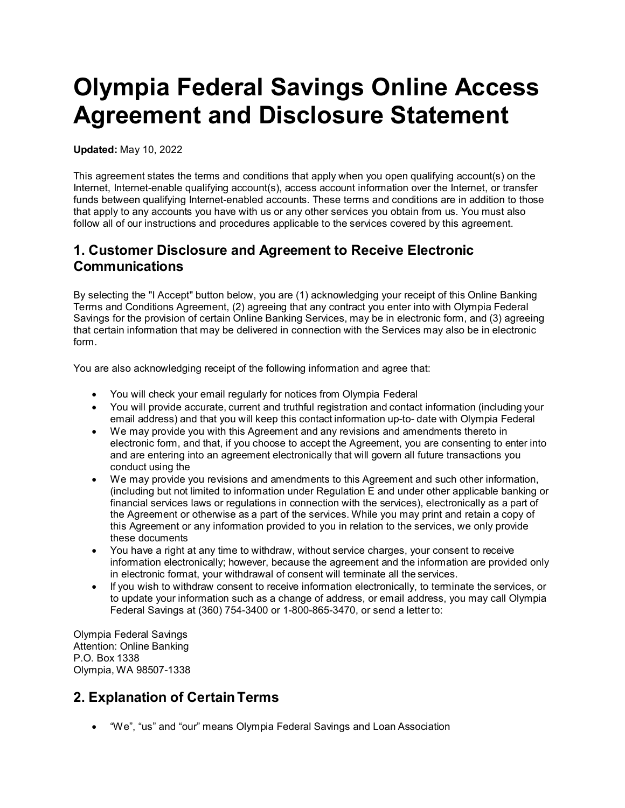# **Olympia Federal Savings Online Access Agreement and Disclosure Statement**

**Updated:** May 10, 2022

This agreement states the terms and conditions that apply when you open qualifying account(s) on the Internet, Internet-enable qualifying account(s), access account information over the Internet, or transfer funds between qualifying Internet-enabled accounts. These terms and conditions are in addition to those that apply to any accounts you have with us or any other services you obtain from us. You must also follow all of our instructions and procedures applicable to the services covered by this agreement.

#### **1. Customer Disclosure and Agreement to Receive Electronic Communications**

By selecting the "I Accept" button below, you are (1) acknowledging your receipt of this Online Banking Terms and Conditions Agreement, (2) agreeing that any contract you enter into with Olympia Federal Savings for the provision of certain Online Banking Services, may be in electronic form, and (3) agreeing that certain information that may be delivered in connection with the Services may also be in electronic form.

You are also acknowledging receipt of the following information and agree that:

- You will check your email regularly for notices from Olympia Federal
- You will provide accurate, current and truthful registration and contact information (including your email address) and that you will keep this contact information up-to- date with Olympia Federal
- We may provide you with this Agreement and any revisions and amendments thereto in electronic form, and that, if you choose to accept the Agreement, you are consenting to enter into and are entering into an agreement electronically that will govern all future transactions you conduct using the
- We may provide you revisions and amendments to this Agreement and such other information, (including but not limited to information under Regulation E and under other applicable banking or financial services laws or regulations in connection with the services), electronically as a part of the Agreement or otherwise as a part of the services. While you may print and retain a copy of this Agreement or any information provided to you in relation to the services, we only provide these documents
- You have a right at any time to withdraw, without service charges, your consent to receive information electronically; however, because the agreement and the information are provided only in electronic format, your withdrawal of consent will terminate all the services.
- If you wish to withdraw consent to receive information electronically, to terminate the services, or to update your information such as a change of address, or email address, you may call Olympia Federal Savings at (360) 754-3400 or 1-800-865-3470, or send a letter to:

Olympia Federal Savings Attention: Online Banking P.O. Box 1338 Olympia, WA 98507-1338

# **2. Explanation of CertainTerms**

• "We", "us" and "our" means Olympia Federal Savings and Loan Association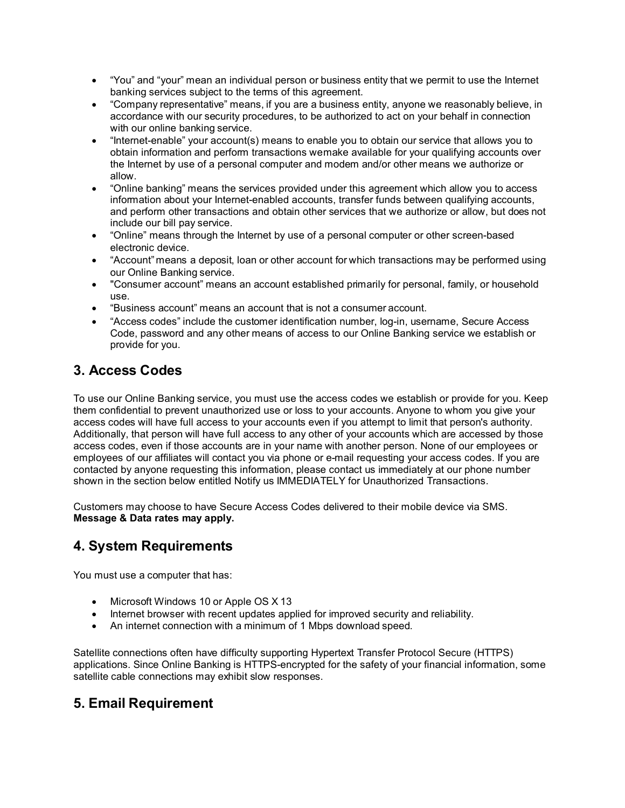- "You" and "your" mean an individual person or business entity that we permit to use the Internet banking services subject to the terms of this agreement.
- "Company representative" means, if you are a business entity, anyone we reasonably believe, in accordance with our security procedures, to be authorized to act on your behalf in connection with our online banking service.
- "Internet-enable" your account(s) means to enable you to obtain our service that allows you to obtain information and perform transactions wemake available for your qualifying accounts over the Internet by use of a personal computer and modem and/or other means we authorize or allow.
- "Online banking" means the services provided under this agreement which allow you to access information about your Internet-enabled accounts, transfer funds between qualifying accounts, and perform other transactions and obtain other services that we authorize or allow, but does not include our bill pay service.
- "Online" means through the Internet by use of a personal computer or other screen-based electronic device.
- "Account" means a deposit, loan or other account for which transactions may be performed using our Online Banking service.
- "Consumer account" means an account established primarily for personal, family, or household use.
- "Business account" means an account that is not a consumer account.
- "Access codes" include the customer identification number, log-in, username, Secure Access Code, password and any other means of access to our Online Banking service we establish or provide for you.

# **3. Access Codes**

To use our Online Banking service, you must use the access codes we establish or provide for you. Keep them confidential to prevent unauthorized use or loss to your accounts. Anyone to whom you give your access codes will have full access to your accounts even if you attempt to limit that person's authority. Additionally, that person will have full access to any other of your accounts which are accessed by those access codes, even if those accounts are in your name with another person. None of our employees or employees of our affiliates will contact you via phone or e-mail requesting your access codes. If you are contacted by anyone requesting this information, please contact us immediately at our phone number shown in the section below entitled Notify us IMMEDIATELY for Unauthorized Transactions.

Customers may choose to have Secure Access Codes delivered to their mobile device via SMS. **Message & Data rates may apply.**

# **4. System Requirements**

You must use a computer that has:

- Microsoft Windows 10 or Apple OS X 13
- Internet browser with recent updates applied for improved security and reliability.
- An internet connection with a minimum of 1 Mbps download speed.

Satellite connections often have difficulty supporting Hypertext Transfer Protocol Secure (HTTPS) applications. Since Online Banking is HTTPS-encrypted for the safety of your financial information, some satellite cable connections may exhibit slow responses.

# **5. Email Requirement**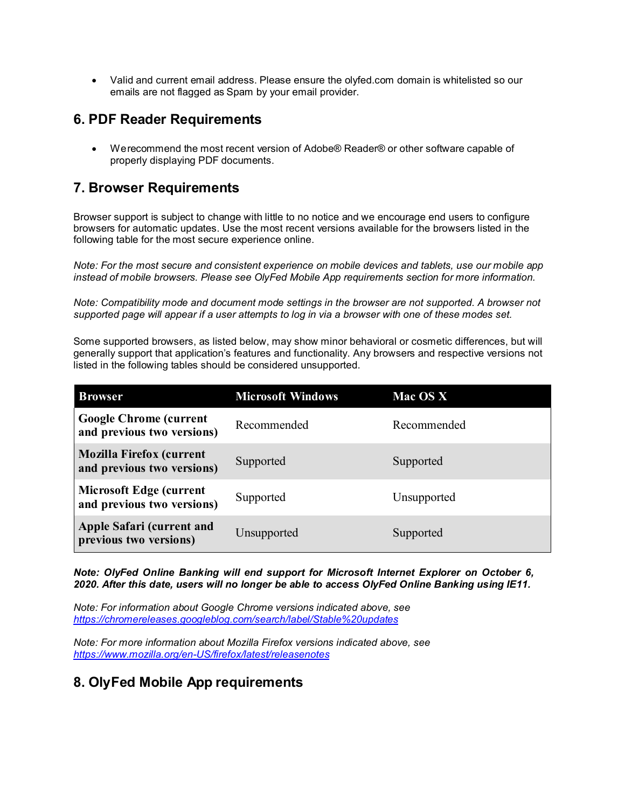• Valid and current email address. Please ensure the olyfed.com domain is whitelisted so our emails are not flagged as Spam by your email provider.

#### **6. PDF Reader Requirements**

• Werecommend the most recent version of Adobe® Reader® or other software capable of properly displaying PDF documents.

#### **7. Browser Requirements**

Browser support is subject to change with little to no notice and we encourage end users to configure browsers for automatic updates. Use the most recent versions available for the browsers listed in the following table for the most secure experience online.

*Note: For the most secure and consistent experience on mobile devices and tablets, use our mobile app instead of mobile browsers. Please see OlyFed Mobile App requirements section for more information.*

*Note: Compatibility mode and document mode settings in the browser are not supported. A browser not supported page will appear if a user attempts to log in via a browser with one of these modes set.*

Some supported browsers, as listed below, may show minor behavioral or cosmetic differences, but will generally support that application's features and functionality. Any browsers and respective versions not listed in the following tables should be considered unsupported.

| <b>Browser</b>                                                | <b>Microsoft Windows</b> | Mac OS X    |
|---------------------------------------------------------------|--------------------------|-------------|
| <b>Google Chrome (current</b><br>and previous two versions)   | Recommended              | Recommended |
| <b>Mozilla Firefox (current</b><br>and previous two versions) | Supported                | Supported   |
| <b>Microsoft Edge (current</b><br>and previous two versions)  | Supported                | Unsupported |
| Apple Safari (current and<br>previous two versions)           | Unsupported              | Supported   |

*Note: OlyFed Online Banking will end support for Microsoft Internet Explorer on October 6, 2020. After this date, users will no longer be able to access OlyFed Online Banking using IE11.*

*Note: For information about Google Chrome versions indicated above, see <https://chromereleases.googleblog.com/search/label/Stable%20updates>*

*Note: For more information about Mozilla Firefox versions indicated above, see <https://www.mozilla.org/en-US/firefox/latest/releasenotes>*

#### **8. OlyFed Mobile App requirements**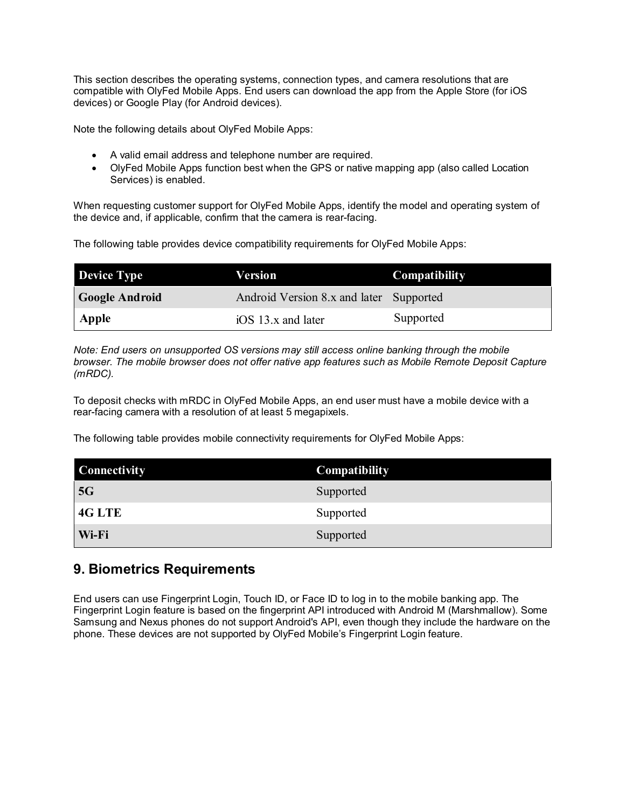This section describes the operating systems, connection types, and camera resolutions that are compatible with OlyFed Mobile Apps. End users can download the app from the Apple Store (for iOS devices) or Google Play (for Android devices).

Note the following details about OlyFed Mobile Apps:

- A valid email address and telephone number are required.
- OlyFed Mobile Apps function best when the GPS or native mapping app (also called Location Services) is enabled.

When requesting customer support for OlyFed Mobile Apps, identify the model and operating system of the device and, if applicable, confirm that the camera is rear-facing.

The following table provides device compatibility requirements for OlyFed Mobile Apps:

| <b>Device Type</b>    | Version                                 | <b>Compatibility</b> |
|-----------------------|-----------------------------------------|----------------------|
| <b>Google Android</b> | Android Version 8.x and later Supported |                      |
| Apple                 | $10S$ 13.x and later                    | Supported            |

*Note: End users on unsupported OS versions may still access online banking through the mobile browser. The mobile browser does not offer native app features such as Mobile Remote Deposit Capture (mRDC).*

To deposit checks with mRDC in OlyFed Mobile Apps, an end user must have a mobile device with a rear-facing camera with a resolution of at least 5 megapixels.

The following table provides mobile connectivity requirements for OlyFed Mobile Apps:

| <b>Connectivity</b> | Compatibility |
|---------------------|---------------|
| 5G                  | Supported     |
| 4G LTE              | Supported     |
| Wi-Fi               | Supported     |

#### **9. Biometrics Requirements**

End users can use Fingerprint Login, Touch ID, or Face ID to log in to the mobile banking app. The Fingerprint Login feature is based on the fingerprint API introduced with Android M (Marshmallow). Some Samsung and Nexus phones do not support Android's API, even though they include the hardware on the phone. These devices are not supported by OlyFed Mobile's Fingerprint Login feature.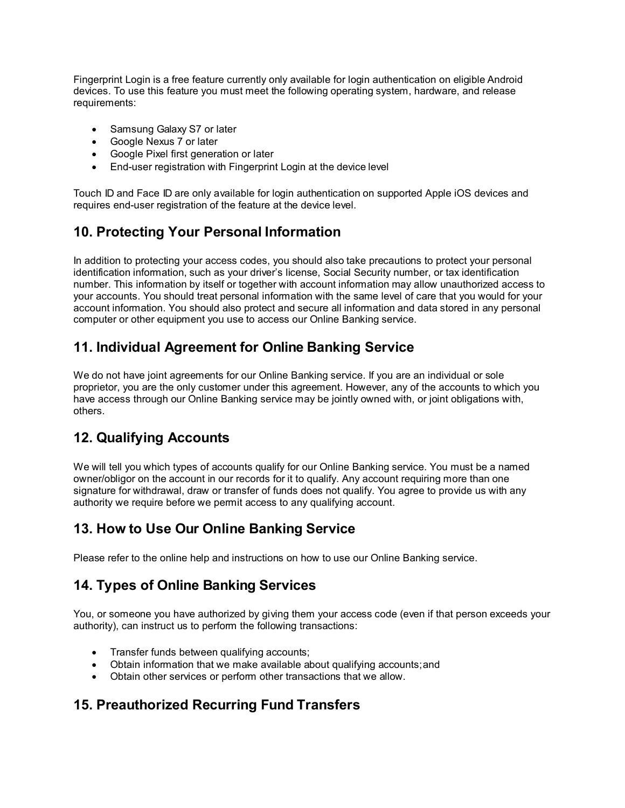Fingerprint Login is a free feature currently only available for login authentication on eligible Android devices. To use this feature you must meet the following operating system, hardware, and release requirements:

- Samsung Galaxy S7 or later
- Google Nexus 7 or later
- Google Pixel first generation or later
- End-user registration with Fingerprint Login at the device level

Touch ID and Face ID are only available for login authentication on supported Apple iOS devices and requires end-user registration of the feature at the device level.

# **10. Protecting Your Personal Information**

In addition to protecting your access codes, you should also take precautions to protect your personal identification information, such as your driver's license, Social Security number, or tax identification number. This information by itself or together with account information may allow unauthorized access to your accounts. You should treat personal information with the same level of care that you would for your account information. You should also protect and secure all information and data stored in any personal computer or other equipment you use to access our Online Banking service.

# **11. Individual Agreement for Online Banking Service**

We do not have joint agreements for our Online Banking service. If you are an individual or sole proprietor, you are the only customer under this agreement. However, any of the accounts to which you have access through our Online Banking service may be jointly owned with, or joint obligations with, others.

# **12. Qualifying Accounts**

We will tell you which types of accounts qualify for our Online Banking service. You must be a named owner/obligor on the account in our records for it to qualify. Any account requiring more than one signature for withdrawal, draw or transfer of funds does not qualify. You agree to provide us with any authority we require before we permit access to any qualifying account.

# **13. How to Use Our Online Banking Service**

Please refer to the online help and instructions on how to use our Online Banking service.

# **14. Types of Online Banking Services**

You, or someone you have authorized by giving them your access code (even if that person exceeds your authority), can instruct us to perform the following transactions:

- Transfer funds between qualifying accounts;
- Obtain information that we make available about qualifying accounts;and
- Obtain other services or perform other transactions that we allow.

#### **15. Preauthorized Recurring Fund Transfers**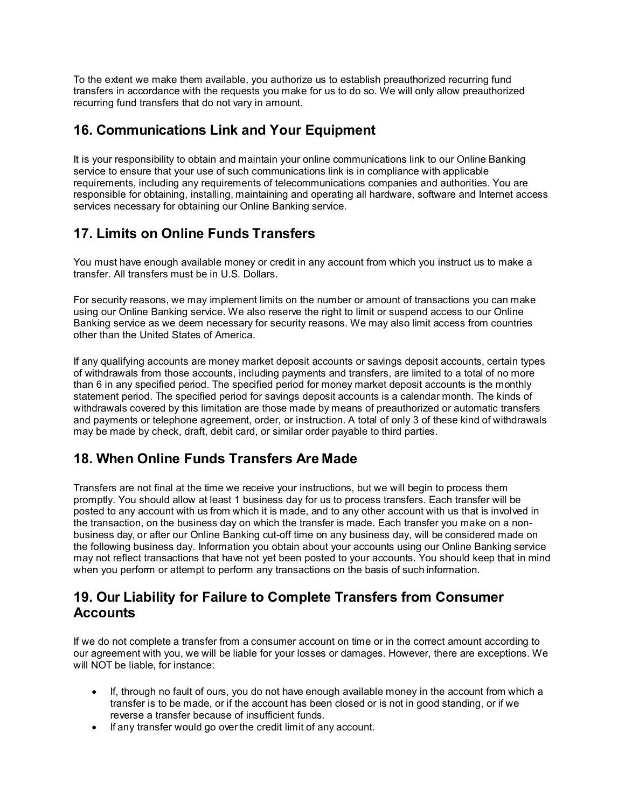To the extent we make them available, you authorize us to establish preauthorized recurring fund transfers in accordance with the requests you make for us to do so. We will only allow preauthorized recurring fund transfers that do not vary in amount.

# **16. Communications Link and Your Equipment**

It is your responsibility to obtain and maintain your online communications link to our Online Banking service to ensure that your use of such communications link is in compliance with applicable requirements, including any requirements of telecommunications companies and authorities. You are responsible for obtaining, installing, maintaining and operating all hardware, software and Internet access services necessary for obtaining our Online Banking service.

# **17. Limits on Online Funds Transfers**

You must have enough available money or credit in any account from which you instruct us to make a transfer. All transfers must be in U.S. Dollars.

For security reasons, we may implement limits on the number or amount of transactions you can make using our Online Banking service. We also reserve the right to limit or suspend access to our Online Banking service as we deem necessary for security reasons. We may also limit access from countries other than the United States of America.

If any qualifying accounts are money market deposit accounts or savings deposit accounts, certain types of withdrawals from those accounts, including payments and transfers, are limited to a total of no more than 6 in any specified period. The specified period for money market deposit accounts is the monthly statement period. The specified period for savings deposit accounts is a calendar month. The kinds of withdrawals covered by this limitation are those made by means of preauthorized or automatic transfers and payments or telephone agreement, order, or instruction. A total of only 3 of these kind of withdrawals may be made by check, draft, debit card, or similar order payable to third parties.

# **18. When Online Funds Transfers Are Made**

Transfers are not final at the time we receive your instructions, but we will begin to process them promptly. You should allow at least 1 business day for us to process transfers. Each transfer will be posted to any account with us from which it is made, and to any other account with us that is involved in the transaction, on the business day on which the transfer is made. Each transfer you make on a nonbusiness day, or after our Online Banking cut-off time on any business day, will be considered made on the following business day. Information you obtain about your accounts using our Online Banking service may not reflect transactions that have not yet been posted to your accounts. You should keep that in mind when you perform or attempt to perform any transactions on the basis of such information.

#### **19. Our Liability for Failure to Complete Transfers from Consumer Accounts**

If we do not complete a transfer from a consumer account on time or in the correct amount according to our agreement with you, we will be liable for your losses or damages. However, there are exceptions. We will NOT be liable, for instance:

- If, through no fault of ours, you do not have enough available money in the account from which a transfer is to be made, or if the account has been closed or is not in good standing, or if we reverse a transfer because of insufficient funds.
- If any transfer would go over the credit limit of any account.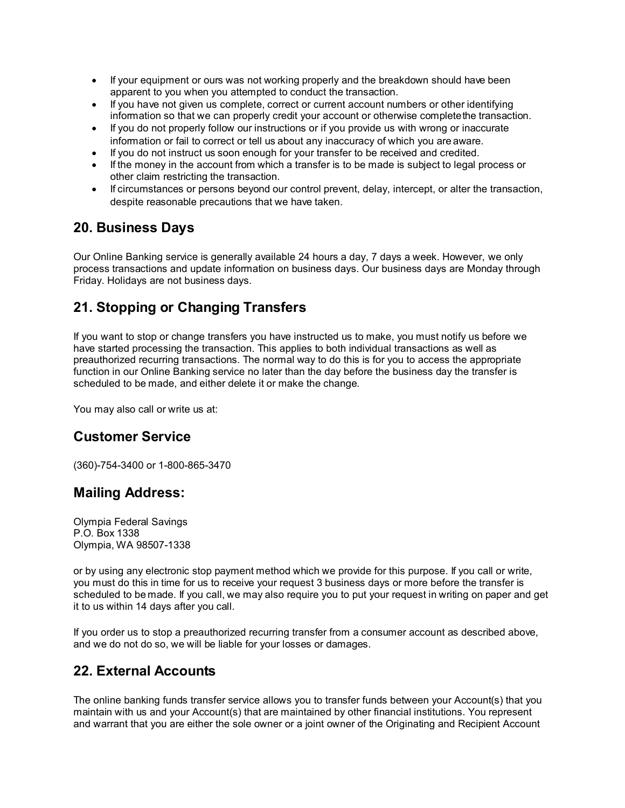- If your equipment or ours was not working properly and the breakdown should have been apparent to you when you attempted to conduct the transaction.
- If you have not given us complete, correct or current account numbers or other identifying information so that we can properly credit your account or otherwise completethe transaction.
- If you do not properly follow our instructions or if you provide us with wrong or inaccurate information or fail to correct or tell us about any inaccuracy of which you are aware.
- If you do not instruct us soon enough for your transfer to be received and credited.
- If the money in the account from which a transfer is to be made is subject to legal process or other claim restricting the transaction.
- If circumstances or persons beyond our control prevent, delay, intercept, or alter the transaction, despite reasonable precautions that we have taken.

#### **20. Business Days**

Our Online Banking service is generally available 24 hours a day, 7 days a week. However, we only process transactions and update information on business days. Our business days are Monday through Friday. Holidays are not business days.

# **21. Stopping or Changing Transfers**

If you want to stop or change transfers you have instructed us to make, you must notify us before we have started processing the transaction. This applies to both individual transactions as well as preauthorized recurring transactions. The normal way to do this is for you to access the appropriate function in our Online Banking service no later than the day before the business day the transfer is scheduled to be made, and either delete it or make the change.

You may also call or write us at:

#### **Customer Service**

(360)-754-3400 or 1-800-865-3470

#### **Mailing Address:**

Olympia Federal Savings P.O. Box 1338 Olympia, WA 98507-1338

or by using any electronic stop payment method which we provide for this purpose. If you call or write, you must do this in time for us to receive your request 3 business days or more before the transfer is scheduled to be made. If you call, we may also require you to put your request in writing on paper and get it to us within 14 days after you call.

If you order us to stop a preauthorized recurring transfer from a consumer account as described above, and we do not do so, we will be liable for your losses or damages.

#### **22. External Accounts**

The online banking funds transfer service allows you to transfer funds between your Account(s) that you maintain with us and your Account(s) that are maintained by other financial institutions. You represent and warrant that you are either the sole owner or a joint owner of the Originating and Recipient Account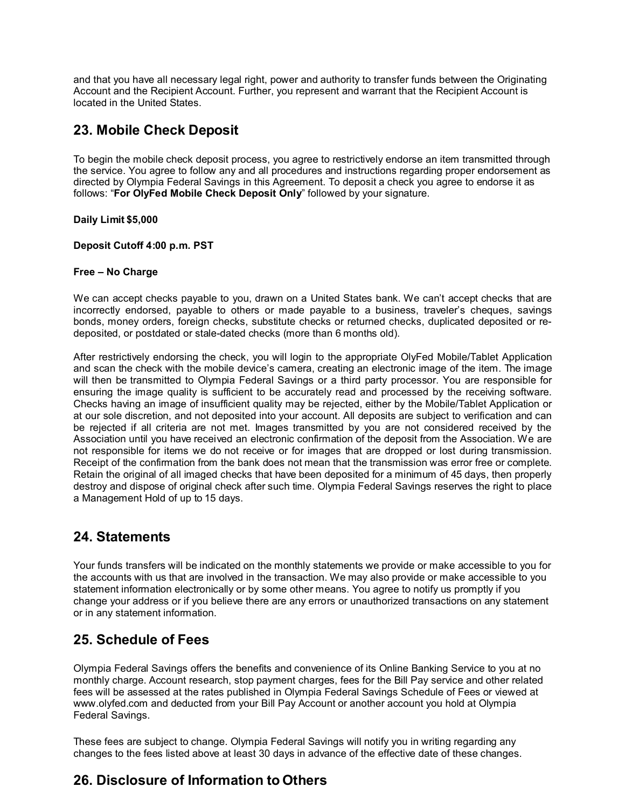and that you have all necessary legal right, power and authority to transfer funds between the Originating Account and the Recipient Account. Further, you represent and warrant that the Recipient Account is located in the United States.

# **23. Mobile Check Deposit**

To begin the mobile check deposit process, you agree to restrictively endorse an item transmitted through the service. You agree to follow any and all procedures and instructions regarding proper endorsement as directed by Olympia Federal Savings in this Agreement. To deposit a check you agree to endorse it as follows: "**For OlyFed Mobile Check Deposit Only**" followed by your signature.

#### **Daily Limit \$5,000**

#### **Deposit Cutoff 4:00 p.m. PST**

#### **Free – No Charge**

We can accept checks payable to you, drawn on a United States bank. We can't accept checks that are incorrectly endorsed, payable to others or made payable to a business, traveler's cheques, savings bonds, money orders, foreign checks, substitute checks or returned checks, duplicated deposited or redeposited, or postdated or stale-dated checks (more than 6 months old).

After restrictively endorsing the check, you will login to the appropriate OlyFed Mobile/Tablet Application and scan the check with the mobile device's camera, creating an electronic image of the item. The image will then be transmitted to Olympia Federal Savings or a third party processor. You are responsible for ensuring the image quality is sufficient to be accurately read and processed by the receiving software. Checks having an image of insufficient quality may be rejected, either by the Mobile/Tablet Application or at our sole discretion, and not deposited into your account. All deposits are subject to verification and can be rejected if all criteria are not met. Images transmitted by you are not considered received by the Association until you have received an electronic confirmation of the deposit from the Association. We are not responsible for items we do not receive or for images that are dropped or lost during transmission. Receipt of the confirmation from the bank does not mean that the transmission was error free or complete. Retain the original of all imaged checks that have been deposited for a minimum of 45 days, then properly destroy and dispose of original check after such time. Olympia Federal Savings reserves the right to place a Management Hold of up to 15 days.

#### **24. Statements**

Your funds transfers will be indicated on the monthly statements we provide or make accessible to you for the accounts with us that are involved in the transaction. We may also provide or make accessible to you statement information electronically or by some other means. You agree to notify us promptly if you change your address or if you believe there are any errors or unauthorized transactions on any statement or in any statement information.

#### **25. Schedule of Fees**

Olympia Federal Savings offers the benefits and convenience of its Online Banking Service to you at no monthly charge. Account research, stop payment charges, fees for the Bill Pay service and other related fees will be assessed at the rates published in Olympia Federal Savings Schedule of Fees or viewed a[t](http://www.olyfed.com/) [www.olyfed.com a](http://www.olyfed.com/)nd deducted from your Bill Pay Account or another account you hold at Olympia Federal Savings.

These fees are subject to change. Olympia Federal Savings will notify you in writing regarding any changes to the fees listed above at least 30 days in advance of the effective date of these changes.

#### **26. Disclosure of Information to Others**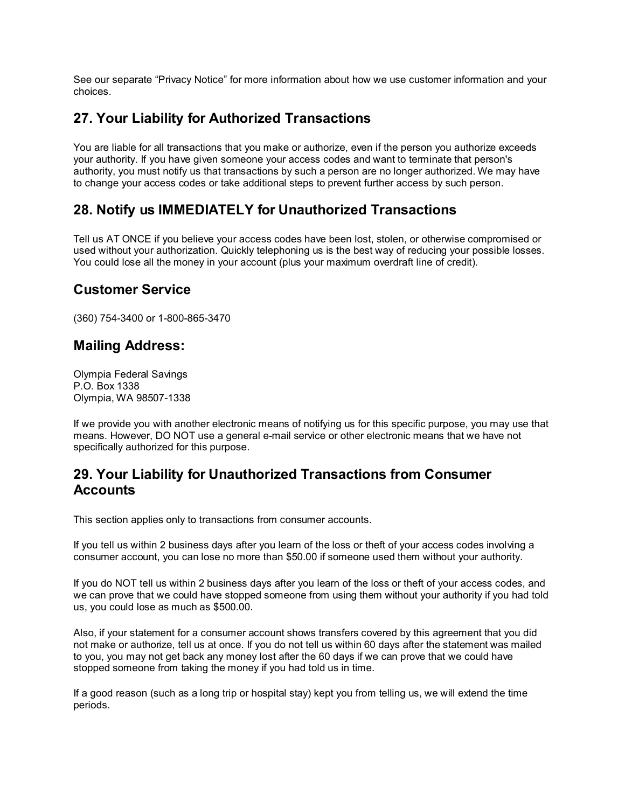See our separate "Privacy Notice" for more information about how we use customer information and your choices.

#### **27. Your Liability for Authorized Transactions**

You are liable for all transactions that you make or authorize, even if the person you authorize exceeds your authority. If you have given someone your access codes and want to terminate that person's authority, you must notify us that transactions by such a person are no longer authorized. We may have to change your access codes or take additional steps to prevent further access by such person.

# **28. Notify us IMMEDIATELY for Unauthorized Transactions**

Tell us AT ONCE if you believe your access codes have been lost, stolen, or otherwise compromised or used without your authorization. Quickly telephoning us is the best way of reducing your possible losses. You could lose all the money in your account (plus your maximum overdraft line of credit).

#### **Customer Service**

(360) 754-3400 or 1-800-865-3470

#### **Mailing Address:**

Olympia Federal Savings P.O. Box 1338 Olympia, WA 98507-1338

If we provide you with another electronic means of notifying us for this specific purpose, you may use that means. However, DO NOT use a general e-mail service or other electronic means that we have not specifically authorized for this purpose.

#### **29. Your Liability for Unauthorized Transactions from Consumer Accounts**

This section applies only to transactions from consumer accounts.

If you tell us within 2 business days after you learn of the loss or theft of your access codes involving a consumer account, you can lose no more than \$50.00 if someone used them without your authority.

If you do NOT tell us within 2 business days after you learn of the loss or theft of your access codes, and we can prove that we could have stopped someone from using them without your authority if you had told us, you could lose as much as \$500.00.

Also, if your statement for a consumer account shows transfers covered by this agreement that you did not make or authorize, tell us at once. If you do not tell us within 60 days after the statement was mailed to you, you may not get back any money lost after the 60 days if we can prove that we could have stopped someone from taking the money if you had told us in time.

If a good reason (such as a long trip or hospital stay) kept you from telling us, we will extend the time periods.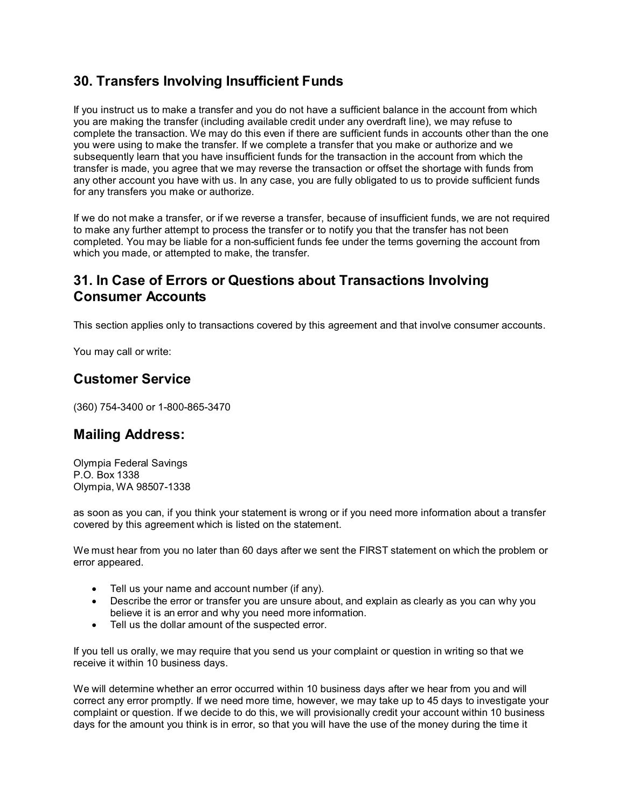# **30. Transfers Involving Insufficient Funds**

If you instruct us to make a transfer and you do not have a sufficient balance in the account from which you are making the transfer (including available credit under any overdraft line), we may refuse to complete the transaction. We may do this even if there are sufficient funds in accounts other than the one you were using to make the transfer. If we complete a transfer that you make or authorize and we subsequently learn that you have insufficient funds for the transaction in the account from which the transfer is made, you agree that we may reverse the transaction or offset the shortage with funds from any other account you have with us. In any case, you are fully obligated to us to provide sufficient funds for any transfers you make or authorize.

If we do not make a transfer, or if we reverse a transfer, because of insufficient funds, we are not required to make any further attempt to process the transfer or to notify you that the transfer has not been completed. You may be liable for a non-sufficient funds fee under the terms governing the account from which you made, or attempted to make, the transfer.

#### **31. In Case of Errors or Questions about Transactions Involving Consumer Accounts**

This section applies only to transactions covered by this agreement and that involve consumer accounts.

You may call or write:

#### **Customer Service**

(360) 754-3400 or 1-800-865-3470

#### **Mailing Address:**

Olympia Federal Savings P.O. Box 1338 Olympia, WA 98507-1338

as soon as you can, if you think your statement is wrong or if you need more information about a transfer covered by this agreement which is listed on the statement.

We must hear from you no later than 60 days after we sent the FIRST statement on which the problem or error appeared.

- Tell us your name and account number (if any).
- Describe the error or transfer you are unsure about, and explain as clearly as you can why you believe it is an error and why you need more information.
- Tell us the dollar amount of the suspected error.

If you tell us orally, we may require that you send us your complaint or question in writing so that we receive it within 10 business days.

We will determine whether an error occurred within 10 business days after we hear from you and will correct any error promptly. If we need more time, however, we may take up to 45 days to investigate your complaint or question. If we decide to do this, we will provisionally credit your account within 10 business days for the amount you think is in error, so that you will have the use of the money during the time it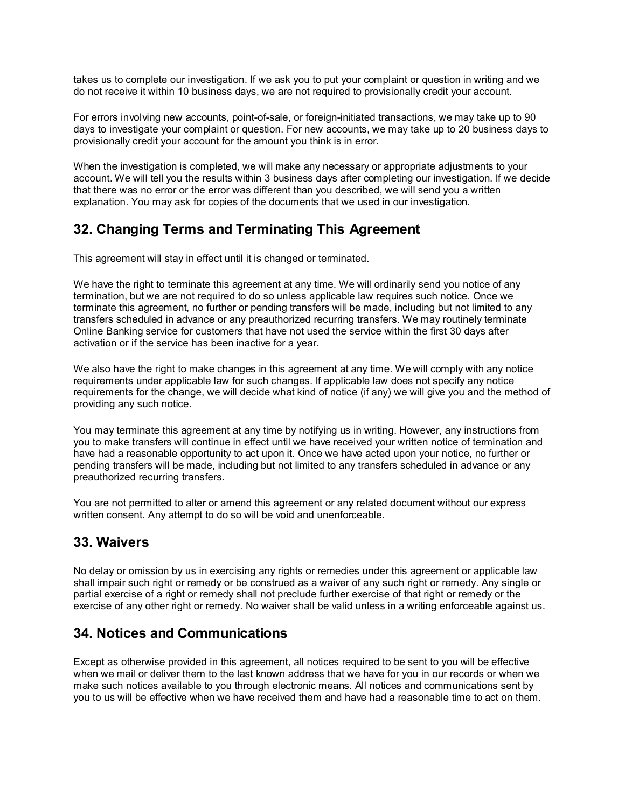takes us to complete our investigation. If we ask you to put your complaint or question in writing and we do not receive it within 10 business days, we are not required to provisionally credit your account.

For errors involving new accounts, point-of-sale, or foreign-initiated transactions, we may take up to 90 days to investigate your complaint or question. For new accounts, we may take up to 20 business days to provisionally credit your account for the amount you think is in error.

When the investigation is completed, we will make any necessary or appropriate adjustments to your account. We will tell you the results within 3 business days after completing our investigation. If we decide that there was no error or the error was different than you described, we will send you a written explanation. You may ask for copies of the documents that we used in our investigation.

# **32. Changing Terms and Terminating This Agreement**

This agreement will stay in effect until it is changed or terminated.

We have the right to terminate this agreement at any time. We will ordinarily send you notice of any termination, but we are not required to do so unless applicable law requires such notice. Once we terminate this agreement, no further or pending transfers will be made, including but not limited to any transfers scheduled in advance or any preauthorized recurring transfers. We may routinely terminate Online Banking service for customers that have not used the service within the first 30 days after activation or if the service has been inactive for a year.

We also have the right to make changes in this agreement at any time. We will comply with any notice requirements under applicable law for such changes. If applicable law does not specify any notice requirements for the change, we will decide what kind of notice (if any) we will give you and the method of providing any such notice.

You may terminate this agreement at any time by notifying us in writing. However, any instructions from you to make transfers will continue in effect until we have received your written notice of termination and have had a reasonable opportunity to act upon it. Once we have acted upon your notice, no further or pending transfers will be made, including but not limited to any transfers scheduled in advance or any preauthorized recurring transfers.

You are not permitted to alter or amend this agreement or any related document without our express written consent. Any attempt to do so will be void and unenforceable.

#### **33. Waivers**

No delay or omission by us in exercising any rights or remedies under this agreement or applicable law shall impair such right or remedy or be construed as a waiver of any such right or remedy. Any single or partial exercise of a right or remedy shall not preclude further exercise of that right or remedy or the exercise of any other right or remedy. No waiver shall be valid unless in a writing enforceable against us.

# **34. Notices and Communications**

Except as otherwise provided in this agreement, all notices required to be sent to you will be effective when we mail or deliver them to the last known address that we have for you in our records or when we make such notices available to you through electronic means. All notices and communications sent by you to us will be effective when we have received them and have had a reasonable time to act on them.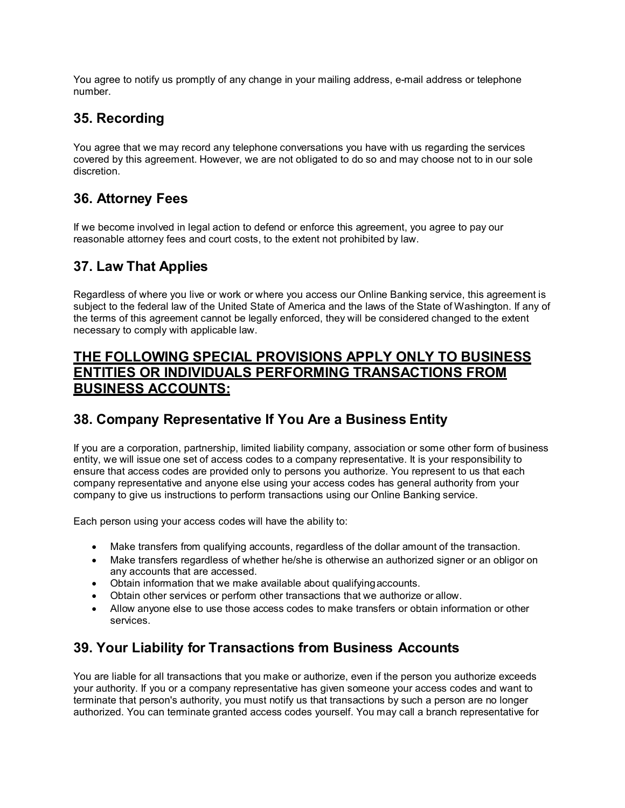You agree to notify us promptly of any change in your mailing address, e-mail address or telephone number.

# **35. Recording**

You agree that we may record any telephone conversations you have with us regarding the services covered by this agreement. However, we are not obligated to do so and may choose not to in our sole discretion.

# **36. Attorney Fees**

If we become involved in legal action to defend or enforce this agreement, you agree to pay our reasonable attorney fees and court costs, to the extent not prohibited by law.

# **37. Law That Applies**

Regardless of where you live or work or where you access our Online Banking service, this agreement is subject to the federal law of the United State of America and the laws of the State of Washington. If any of the terms of this agreement cannot be legally enforced, they will be considered changed to the extent necessary to comply with applicable law.

#### **THE FOLLOWING SPECIAL PROVISIONS APPLY ONLY TO BUSINESS ENTITIES OR INDIVIDUALS PERFORMING TRANSACTIONS FROM BUSINESS ACCOUNTS:**

#### **38. Company Representative If You Are a Business Entity**

If you are a corporation, partnership, limited liability company, association or some other form of business entity, we will issue one set of access codes to a company representative. It is your responsibility to ensure that access codes are provided only to persons you authorize. You represent to us that each company representative and anyone else using your access codes has general authority from your company to give us instructions to perform transactions using our Online Banking service.

Each person using your access codes will have the ability to:

- Make transfers from qualifying accounts, regardless of the dollar amount of the transaction.
- Make transfers regardless of whether he/she is otherwise an authorized signer or an obligor on any accounts that are accessed.
- Obtain information that we make available about qualifyingaccounts.
- Obtain other services or perform other transactions that we authorize or allow.
- Allow anyone else to use those access codes to make transfers or obtain information or other services.

# **39. Your Liability for Transactions from Business Accounts**

You are liable for all transactions that you make or authorize, even if the person you authorize exceeds your authority. If you or a company representative has given someone your access codes and want to terminate that person's authority, you must notify us that transactions by such a person are no longer authorized. You can terminate granted access codes yourself. You may call a branch representative for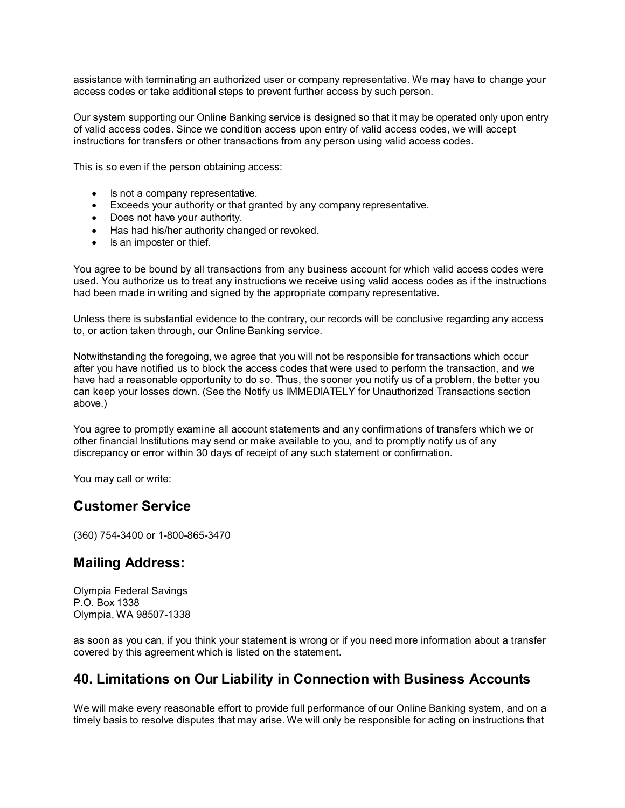assistance with terminating an authorized user or company representative. We may have to change your access codes or take additional steps to prevent further access by such person.

Our system supporting our Online Banking service is designed so that it may be operated only upon entry of valid access codes. Since we condition access upon entry of valid access codes, we will accept instructions for transfers or other transactions from any person using valid access codes.

This is so even if the person obtaining access:

- Is not a company representative.
- Exceeds your authority or that granted by any company representative.
- Does not have your authority.
- Has had his/her authority changed or revoked.
- Is an imposter or thief.

You agree to be bound by all transactions from any business account for which valid access codes were used. You authorize us to treat any instructions we receive using valid access codes as if the instructions had been made in writing and signed by the appropriate company representative.

Unless there is substantial evidence to the contrary, our records will be conclusive regarding any access to, or action taken through, our Online Banking service.

Notwithstanding the foregoing, we agree that you will not be responsible for transactions which occur after you have notified us to block the access codes that were used to perform the transaction, and we have had a reasonable opportunity to do so. Thus, the sooner you notify us of a problem, the better you can keep your losses down. (See the Notify us IMMEDIATELY for Unauthorized Transactions section above.)

You agree to promptly examine all account statements and any confirmations of transfers which we or other financial Institutions may send or make available to you, and to promptly notify us of any discrepancy or error within 30 days of receipt of any such statement or confirmation.

You may call or write:

#### **Customer Service**

(360) 754-3400 or 1-800-865-3470

#### **Mailing Address:**

Olympia Federal Savings P.O. Box 1338 Olympia, WA 98507-1338

as soon as you can, if you think your statement is wrong or if you need more information about a transfer covered by this agreement which is listed on the statement.

#### **40. Limitations on Our Liability in Connection with Business Accounts**

We will make every reasonable effort to provide full performance of our Online Banking system, and on a timely basis to resolve disputes that may arise. We will only be responsible for acting on instructions that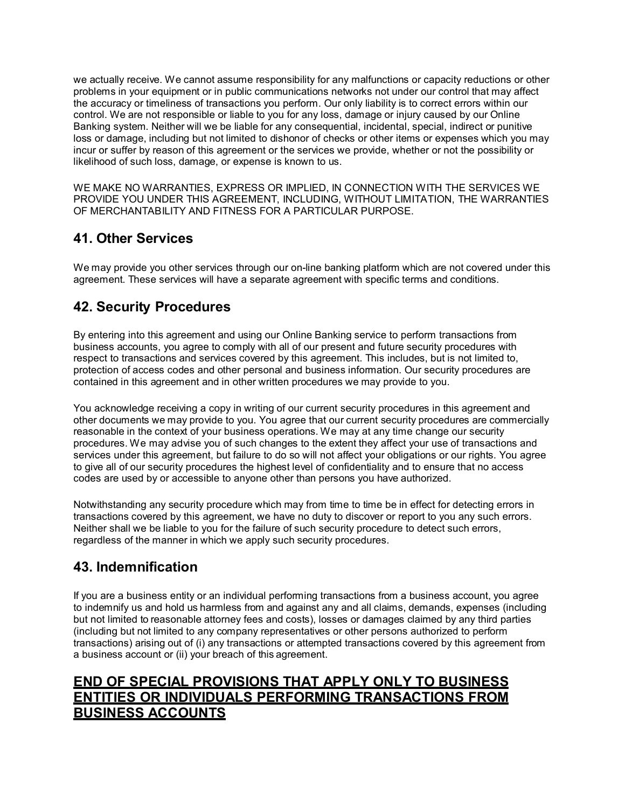we actually receive. We cannot assume responsibility for any malfunctions or capacity reductions or other problems in your equipment or in public communications networks not under our control that may affect the accuracy or timeliness of transactions you perform. Our only liability is to correct errors within our control. We are not responsible or liable to you for any loss, damage or injury caused by our Online Banking system. Neither will we be liable for any consequential, incidental, special, indirect or punitive loss or damage, including but not limited to dishonor of checks or other items or expenses which you may incur or suffer by reason of this agreement or the services we provide, whether or not the possibility or likelihood of such loss, damage, or expense is known to us.

WE MAKE NO WARRANTIES, EXPRESS OR IMPLIED, IN CONNECTION WITH THE SERVICES WE PROVIDE YOU UNDER THIS AGREEMENT, INCLUDING, WITHOUT LIMITATION, THE WARRANTIES OF MERCHANTABILITY AND FITNESS FOR A PARTICULAR PURPOSE.

# **41. Other Services**

We may provide you other services through our on-line banking platform which are not covered under this agreement. These services will have a separate agreement with specific terms and conditions.

# **42. Security Procedures**

By entering into this agreement and using our Online Banking service to perform transactions from business accounts, you agree to comply with all of our present and future security procedures with respect to transactions and services covered by this agreement. This includes, but is not limited to, protection of access codes and other personal and business information. Our security procedures are contained in this agreement and in other written procedures we may provide to you.

You acknowledge receiving a copy in writing of our current security procedures in this agreement and other documents we may provide to you. You agree that our current security procedures are commercially reasonable in the context of your business operations. We may at any time change our security procedures. We may advise you of such changes to the extent they affect your use of transactions and services under this agreement, but failure to do so will not affect your obligations or our rights. You agree to give all of our security procedures the highest level of confidentiality and to ensure that no access codes are used by or accessible to anyone other than persons you have authorized.

Notwithstanding any security procedure which may from time to time be in effect for detecting errors in transactions covered by this agreement, we have no duty to discover or report to you any such errors. Neither shall we be liable to you for the failure of such security procedure to detect such errors, regardless of the manner in which we apply such security procedures.

# **43. Indemnification**

If you are a business entity or an individual performing transactions from a business account, you agree to indemnify us and hold us harmless from and against any and all claims, demands, expenses (including but not limited to reasonable attorney fees and costs), losses or damages claimed by any third parties (including but not limited to any company representatives or other persons authorized to perform transactions) arising out of (i) any transactions or attempted transactions covered by this agreement from a business account or (ii) your breach of this agreement.

# **END OF SPECIAL PROVISIONS THAT APPLY ONLY TO BUSINESS ENTITIES OR INDIVIDUALS PERFORMING TRANSACTIONS FROM BUSINESS ACCOUNTS**